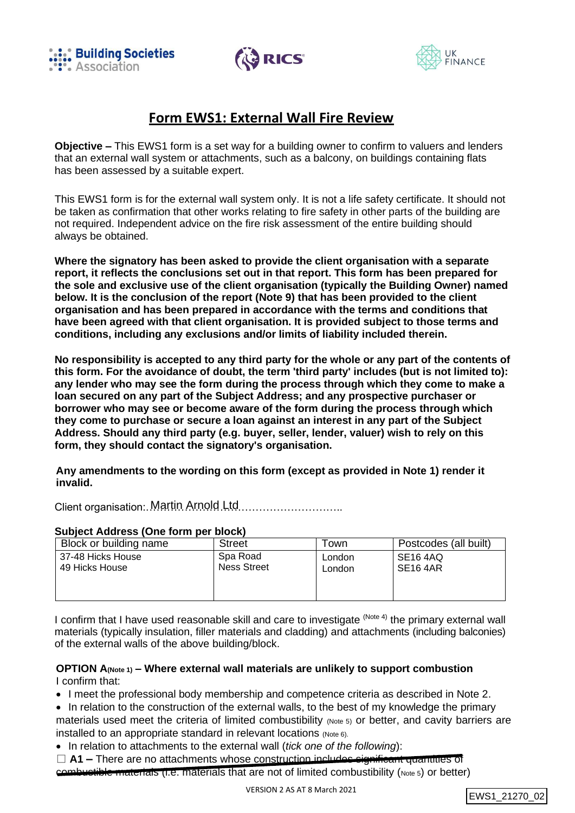





# **Form EWS1: External Wall Fire Review**

**Objective –** This EWS1 form is a set way for a building owner to confirm to valuers and lenders that an external wall system or attachments, such as a balcony, on buildings containing flats has been assessed by a suitable expert.

This EWS1 form is for the external wall system only. It is not a life safety certificate. It should not be taken as confirmation that other works relating to fire safety in other parts of the building are not required. Independent advice on the fire risk assessment of the entire building should always be obtained.

**Where the signatory has been asked to provide the client organisation with a separate report, it reflects the conclusions set out in that report. This form has been prepared for the sole and exclusive use of the client organisation (typically the Building Owner) named below. It is the conclusion of the report (Note 9) that has been provided to the client organisation and has been prepared in accordance with the terms and conditions that have been agreed with that client organisation. It is provided subject to those terms and conditions, including any exclusions and/or limits of liability included therein.**

**No responsibility is accepted to any third party for the whole or any part of the contents of this form. For the avoidance of doubt, the term 'third party' includes (but is not limited to): any lender who may see the form during the process through which they come to make a loan secured on any part of the Subject Address; and any prospective purchaser or borrower who may see or become aware of the form during the process through which they come to purchase or secure a loan against an interest in any part of the Subject Address. Should any third party (e.g. buyer, seller, lender, valuer) wish to rely on this form, they should contact the signatory's organisation.**

**Any amendments to the wording on this form (except as provided in Note 1) render it invalid.**

Client organisation: Martin Arnold Ltd............................

| Subject Address (One form per block) |                                |                  |                                  |
|--------------------------------------|--------------------------------|------------------|----------------------------------|
| Block or building name               | <b>Street</b>                  | ⊺own             | Postcodes (all built)            |
| 37-48 Hicks House<br>49 Hicks House  | Spa Road<br><b>Ness Street</b> | London<br>London | SE <sub>16</sub> 4AQ<br>SE16 4AR |
|                                      |                                |                  |                                  |
|                                      |                                |                  |                                  |

# **Subject Address (One form per block)**

I confirm that I have used reasonable skill and care to investigate <sup>(Note 4)</sup> the primary external wall materials (typically insulation, filler materials and cladding) and attachments (including balconies) of the external walls of the above building/block.

#### **OPTION A(Note 1) – Where external wall materials are unlikely to support combustion** I confirm that:

• I meet the professional body membership and competence criteria as described in Note 2.

- In relation to the construction of the external walls, to the best of my knowledge the primary materials used meet the criteria of limited combustibility (Note 5) or better, and cavity barriers are installed to an appropriate standard in relevant locations (Note 6).
- In relation to attachments to the external wall (*tick one of the following*):
- □ **A1** There are no attachments whose construction includes significant quantities of combustible materials (i.e. materials that are not of limited combustibility (Note 5) or better)

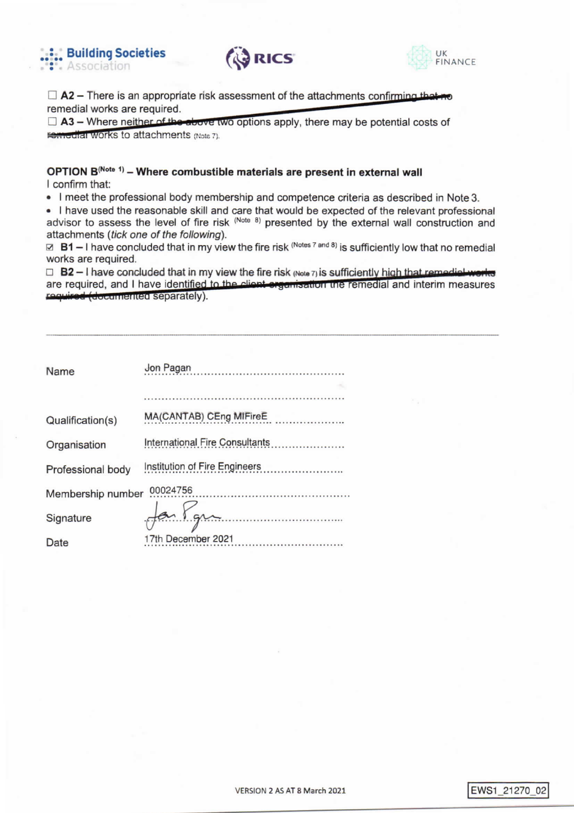





 $\Box$  A2 – There is an appropriate risk assessment of the attachments confirming that no remedial works are required.

 $\Box$  A3 – Where neither of the above two options apply, there may be potential costs of **Femodial Works to attachments (Note 7).** 

## OPTION B<sup>(Note 1)</sup> - Where combustible materials are present in external wall I confirm that:

• I meet the professional body membership and competence criteria as described in Note 3.

. I have used the reasonable skill and care that would be expected of the relevant professional advisor to assess the level of fire risk (Note 8) presented by the external wall construction and attachments (tick one of the following).

 $\boxtimes$  B1 – I have concluded that in my view the fire risk (Notes 7 and 8) is sufficiently low that no remedial works are required.

 $\Box$  B2 - I have concluded that in my view the fire risk (Note 7) is sufficiently high that remodial works are required, and I have identified to the client organisation the remedial and interim measures required (documented separately).

| <b>Name</b>       | Jon Pagan<br>وتوجها ومحدوداتهما |
|-------------------|---------------------------------|
|                   |                                 |
| Qualification(s)  | MA(CANTAB) CEng MIFireE<br>.    |
| Organisation      | International Fire Consultants  |
| Professional body |                                 |
| Membership number | 00024756                        |
| Signature         |                                 |
| Date              | 17th December 2021              |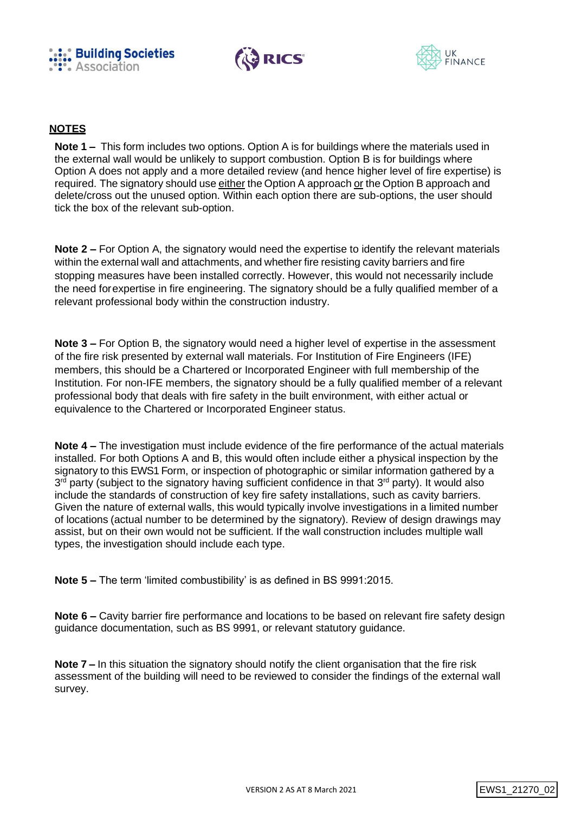





## **NOTES**

**Note 1 –** This form includes two options. Option A is for buildings where the materials used in the external wall would be unlikely to support combustion. Option B is for buildings where Option A does not apply and a more detailed review (and hence higher level of fire expertise) is required. The signatory should use either the Option A approach or the Option B approach and delete/cross out the unused option. Within each option there are sub-options, the user should tick the box of the relevant sub-option.

**Note 2 –** For Option A, the signatory would need the expertise to identify the relevant materials within the external wall and attachments, and whether fire resisting cavity barriers and fire stopping measures have been installed correctly. However, this would not necessarily include the need forexpertise in fire engineering. The signatory should be a fully qualified member of a relevant professional body within the construction industry.

**Note 3 –** For Option B, the signatory would need a higher level of expertise in the assessment of the fire risk presented by external wall materials. For Institution of Fire Engineers (IFE) members, this should be a Chartered or Incorporated Engineer with full membership of the Institution. For non-IFE members, the signatory should be a fully qualified member of a relevant professional body that deals with fire safety in the built environment, with either actual or equivalence to the Chartered or Incorporated Engineer status.

**Note 4 –** The investigation must include evidence of the fire performance of the actual materials installed. For both Options A and B, this would often include either a physical inspection by the signatory to this EWS1 Form, or inspection of photographic or similar information gathered by a 3<sup>rd</sup> party (subject to the signatory having sufficient confidence in that 3<sup>rd</sup> party). It would also include the standards of construction of key fire safety installations, such as cavity barriers. Given the nature of external walls, this would typically involve investigations in a limited number of locations (actual number to be determined by the signatory). Review of design drawings may assist, but on their own would not be sufficient. If the wall construction includes multiple wall types, the investigation should include each type.

**Note 5 –** The term 'limited combustibility' is as defined in BS 9991:2015.

**Note 6 –** Cavity barrier fire performance and locations to be based on relevant fire safety design guidance documentation, such as BS 9991, or relevant statutory guidance.

**Note 7 –** In this situation the signatory should notify the client organisation that the fire risk assessment of the building will need to be reviewed to consider the findings of the external wall survey.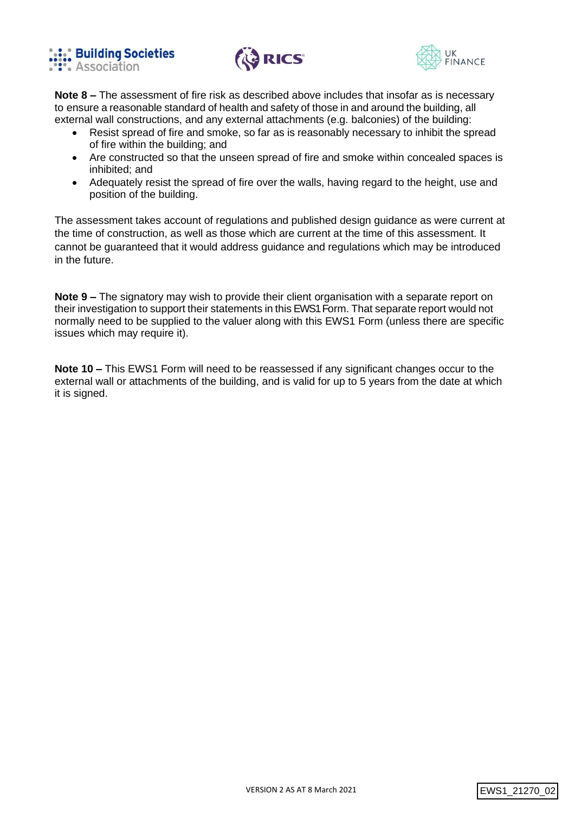





**Note 8 –** The assessment of fire risk as described above includes that insofar as is necessary to ensure a reasonable standard of health and safety of those in and around the building, all external wall constructions, and any external attachments (e.g. balconies) of the building:

- Resist spread of fire and smoke, so far as is reasonably necessary to inhibit the spread of fire within the building; and
- Are constructed so that the unseen spread of fire and smoke within concealed spaces is inhibited; and
- Adequately resist the spread of fire over the walls, having regard to the height, use and position of the building.

The assessment takes account of regulations and published design guidance as were current at the time of construction, as well as those which are current at the time of this assessment. It cannot be guaranteed that it would address guidance and regulations which may be introduced in the future.

**Note 9 –** The signatory may wish to provide their client organisation with a separate report on their investigation to support their statements in this EWS1 Form. That separate report would not normally need to be supplied to the valuer along with this EWS1 Form (unless there are specific issues which may require it).

**Note 10 –** This EWS1 Form will need to be reassessed if any significant changes occur to the external wall or attachments of the building, and is valid for up to 5 years from the date at which it is signed.